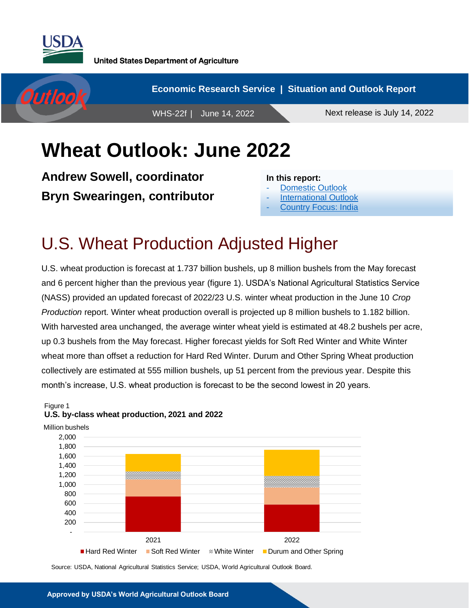



# **Wheat Outlook: June 2022**

**Andrew Sowell, coordinator Bryn Swearingen, contributor**

#### **In this report:**

- [Domestic Outlook](#page-1-0)
- **[International Outlook](#page-7-0)**
- [Country Focus: India](#page-11-0)

## U.S. Wheat Production Adjusted Higher

U.S. wheat production is forecast at 1.737 billion bushels, up 8 million bushels from the May forecast and 6 percent higher than the previous year (figure 1). USDA's National Agricultural Statistics Service (NASS) provided an updated forecast of 2022/23 U.S. winter wheat production in the June 10 *Crop Production* report. Winter wheat production overall is projected up 8 million bushels to 1.182 billion. With harvested area unchanged, the average winter wheat yield is estimated at 48.2 bushels per acre, up 0.3 bushels from the May forecast. Higher forecast yields for Soft Red Winter and White Winter wheat more than offset a reduction for Hard Red Winter. Durum and Other Spring Wheat production collectively are estimated at 555 million bushels, up 51 percent from the previous year. Despite this month's increase, U.S. wheat production is forecast to be the second lowest in 20 years.



#### Figure 1 **U.S. by-class wheat production, 2021 and 2022**

Source: USDA, National Agricultural Statistics Service; USDA, World Agricultural Outlook Board.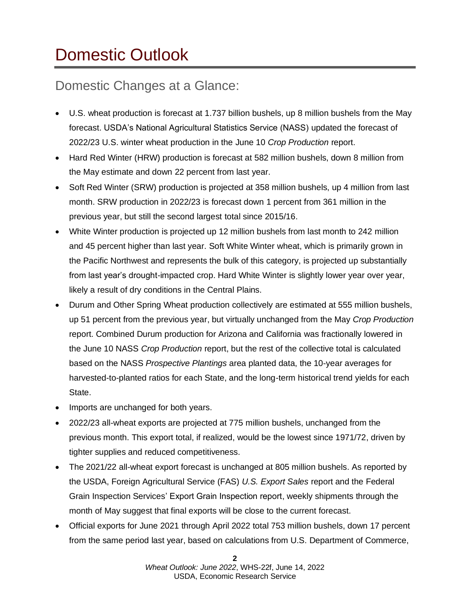# <span id="page-1-0"></span>Domestic Outlook

## Domestic Changes at a Glance:

- U.S. wheat production is forecast at 1.737 billion bushels, up 8 million bushels from the May forecast. USDA's National Agricultural Statistics Service (NASS) updated the forecast of 2022/23 U.S. winter wheat production in the June 10 *Crop Production* report.
- Hard Red Winter (HRW) production is forecast at 582 million bushels, down 8 million from the May estimate and down 22 percent from last year.
- Soft Red Winter (SRW) production is projected at 358 million bushels, up 4 million from last month. SRW production in 2022/23 is forecast down 1 percent from 361 million in the previous year, but still the second largest total since 2015/16.
- White Winter production is projected up 12 million bushels from last month to 242 million and 45 percent higher than last year. Soft White Winter wheat, which is primarily grown in the Pacific Northwest and represents the bulk of this category, is projected up substantially from last year's drought-impacted crop. Hard White Winter is slightly lower year over year, likely a result of dry conditions in the Central Plains.
- Durum and Other Spring Wheat production collectively are estimated at 555 million bushels, up 51 percent from the previous year, but virtually unchanged from the May *Crop Production* report. Combined Durum production for Arizona and California was fractionally lowered in the June 10 NASS *Crop Production* report, but the rest of the collective total is calculated based on the NASS *Prospective Plantings* area planted data, the 10-year averages for harvested-to-planted ratios for each State, and the long-term historical trend yields for each State.
- Imports are unchanged for both years.
- 2022/23 all-wheat exports are projected at 775 million bushels, unchanged from the previous month. This export total, if realized, would be the lowest since 1971/72, driven by tighter supplies and reduced competitiveness.
- The 2021/22 all-wheat export forecast is unchanged at 805 million bushels. As reported by the USDA, Foreign Agricultural Service (FAS) *U.S. Export Sales* report and the Federal Grain Inspection Services' Export Grain Inspection report, weekly shipments through the month of May suggest that final exports will be close to the current forecast.
- Official exports for June 2021 through April 2022 total 753 million bushels, down 17 percent from the same period last year, based on calculations from U.S. Department of Commerce,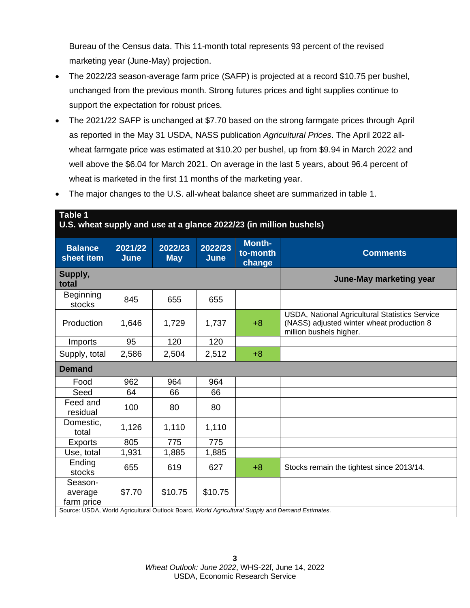Bureau of the Census data. This 11-month total represents 93 percent of the revised marketing year (June-May) projection.

- The 2022/23 season-average farm price (SAFP) is projected at a record \$10.75 per bushel, unchanged from the previous month. Strong futures prices and tight supplies continue to support the expectation for robust prices.
- The 2021/22 SAFP is unchanged at \$7.70 based on the strong farmgate prices through April as reported in the May 31 USDA, NASS publication *Agricultural Prices*. The April 2022 allwheat farmgate price was estimated at \$10.20 per bushel, up from \$9.94 in March 2022 and well above the \$6.04 for March 2021. On average in the last 5 years, about 96.4 percent of wheat is marketed in the first 11 months of the marketing year.
- The major changes to the U.S. all-wheat balance sheet are summarized in table 1.

**Table 1**

| U.S. wheat supply and use at a glance 2022/23 (in million bushels)                              |                        |                       |                        |                                     |                                                                                                                        |  |  |  |
|-------------------------------------------------------------------------------------------------|------------------------|-----------------------|------------------------|-------------------------------------|------------------------------------------------------------------------------------------------------------------------|--|--|--|
| <b>Balance</b><br>sheet item                                                                    | 2021/22<br><b>June</b> | 2022/23<br><b>May</b> | 2022/23<br><b>June</b> | <b>Month-</b><br>to-month<br>change | <b>Comments</b>                                                                                                        |  |  |  |
| Supply,<br>total                                                                                |                        |                       |                        |                                     | June-May marketing year                                                                                                |  |  |  |
| Beginning<br>stocks                                                                             | 845                    | 655                   | 655                    |                                     |                                                                                                                        |  |  |  |
| Production                                                                                      | 1,646                  | 1,729                 | 1,737                  | $+8$                                | USDA, National Agricultural Statistics Service<br>(NASS) adjusted winter wheat production 8<br>million bushels higher. |  |  |  |
| Imports                                                                                         | 95                     | 120                   | 120                    |                                     |                                                                                                                        |  |  |  |
| Supply, total                                                                                   | 2,586                  | 2,504                 | 2,512                  | $+8$                                |                                                                                                                        |  |  |  |
| <b>Demand</b>                                                                                   |                        |                       |                        |                                     |                                                                                                                        |  |  |  |
| Food                                                                                            | 962                    | 964                   | 964                    |                                     |                                                                                                                        |  |  |  |
| Seed                                                                                            | 64                     | 66                    | 66                     |                                     |                                                                                                                        |  |  |  |
| Feed and<br>residual                                                                            | 100                    | 80                    | 80                     |                                     |                                                                                                                        |  |  |  |
| Domestic,<br>total                                                                              | 1,126                  | 1,110                 | 1,110                  |                                     |                                                                                                                        |  |  |  |
| <b>Exports</b>                                                                                  | 805                    | 775                   | 775                    |                                     |                                                                                                                        |  |  |  |
| Use, total                                                                                      | 1,931                  | 1,885                 | 1,885                  |                                     |                                                                                                                        |  |  |  |
| Ending<br>stocks                                                                                | 655                    | 619                   | 627                    | $+8$                                | Stocks remain the tightest since 2013/14.                                                                              |  |  |  |
| Season-<br>average<br>farm price                                                                | \$7.70                 | \$10.75               | \$10.75                |                                     |                                                                                                                        |  |  |  |
| Source: USDA, World Agricultural Outlook Board, World Agricultural Supply and Demand Estimates. |                        |                       |                        |                                     |                                                                                                                        |  |  |  |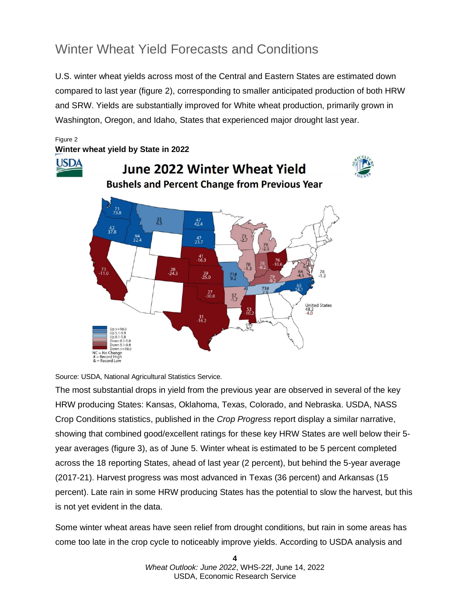## Winter Wheat Yield Forecasts and Conditions

U.S. winter wheat yields across most of the Central and Eastern States are estimated down compared to last year (figure 2), corresponding to smaller anticipated production of both HRW and SRW. Yields are substantially improved for White wheat production, primarily grown in Washington, Oregon, and Idaho, States that experienced major drought last year.

#### Figure 2 **Winter wheat yield by State in 2022 USDA** June 2022 Winter Wheat Yield **Bushels and Percent Change from Previous Year**  $73.8$  $\frac{33}{6.5}$  $^{47}_{42.4}$  $\frac{62}{37.8}$  $\frac{94}{324}$  $^{47}_{23.7}$  $\frac{41}{16.3}$ 73<br>11.0  $\frac{28}{24.3}$  $\frac{39}{25.0}$  $71#$ <br>9.2  $73<sup>‡</sup>$  $\frac{27}{30.8}$  $\frac{57}{1.7}$ United States<br>48.2<br>-4.0 . 31<br>-16.2 ange<br>High<br>Law  $# = Record$ <br> $& = Record$



The most substantial drops in yield from the previous year are observed in several of the key HRW producing States: Kansas, Oklahoma, Texas, Colorado, and Nebraska. USDA, NASS Crop Conditions statistics, published in the *Crop Progress* report display a similar narrative, showing that combined good/excellent ratings for these key HRW States are well below their 5 year averages (figure 3), as of June 5. Winter wheat is estimated to be 5 percent completed across the 18 reporting States, ahead of last year (2 percent), but behind the 5-year average (2017-21). Harvest progress was most advanced in Texas (36 percent) and Arkansas (15 percent). Late rain in some HRW producing States has the potential to slow the harvest, but this is not yet evident in the data.

Some winter wheat areas have seen relief from drought conditions, but rain in some areas has come too late in the crop cycle to noticeably improve yields. According to USDA analysis and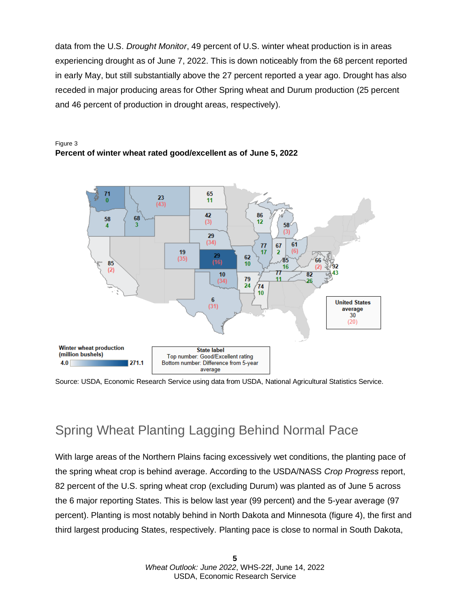data from the U.S. *Drought Monitor*, 49 percent of U.S. winter wheat production is in areas experiencing drought as of June 7, 2022. This is down noticeably from the 68 percent reported in early May, but still substantially above the 27 percent reported a year ago. Drought has also receded in major producing areas for Other Spring wheat and Durum production (25 percent and 46 percent of production in drought areas, respectively).





Source: USDA, Economic Research Service using data from USDA, National Agricultural Statistics Service.

### Spring Wheat Planting Lagging Behind Normal Pace

With large areas of the Northern Plains facing excessively wet conditions, the planting pace of the spring wheat crop is behind average. According to the USDA/NASS *Crop Progress* report, 82 percent of the U.S. spring wheat crop (excluding Durum) was planted as of June 5 across the 6 major reporting States. This is below last year (99 percent) and the 5-year average (97 percent). Planting is most notably behind in North Dakota and Minnesota (figure 4), the first and third largest producing States, respectively. Planting pace is close to normal in South Dakota,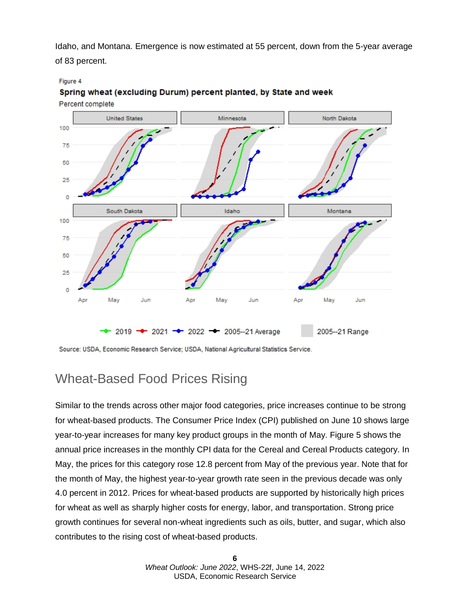Idaho, and Montana. Emergence is now estimated at 55 percent, down from the 5-year average of 83 percent.

#### Figure 4



Spring wheat (excluding Durum) percent planted, by State and week Percent complete

Source: USDA, Economic Research Service; USDA, National Agricultural Statistics Service.

## Wheat-Based Food Prices Rising

Similar to the trends across other major food categories, price increases continue to be strong for wheat-based products. The Consumer Price Index (CPI) published on June 10 shows large year-to-year increases for many key product groups in the month of May. Figure 5 shows the annual price increases in the monthly CPI data for the Cereal and Cereal Products category. In May, the prices for this category rose 12.8 percent from May of the previous year. Note that for the month of May, the highest year-to-year growth rate seen in the previous decade was only 4.0 percent in 2012. Prices for wheat-based products are supported by historically high prices for wheat as well as sharply higher costs for energy, labor, and transportation. Strong price growth continues for several non-wheat ingredients such as oils, butter, and sugar, which also contributes to the rising cost of wheat-based products.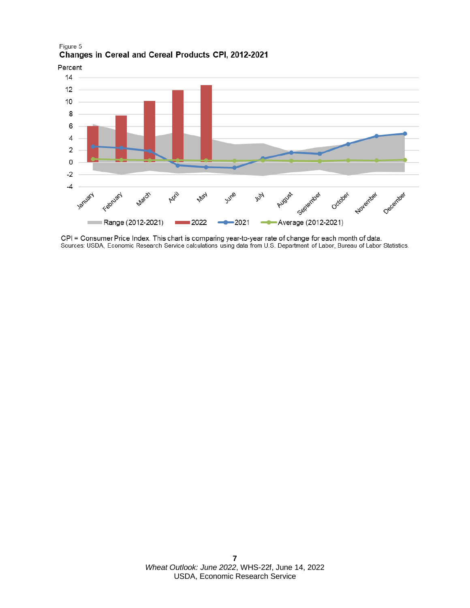Figure 5 Changes in Cereal and Cereal Products CPI, 2012-2021



CPI = Consumer Price Index. This chart is comparing year-to-year rate of change for each month of data.<br>Sources: USDA, Economic Research Service calculations using data from U.S. Department of Labor, Bureau of Labor Statis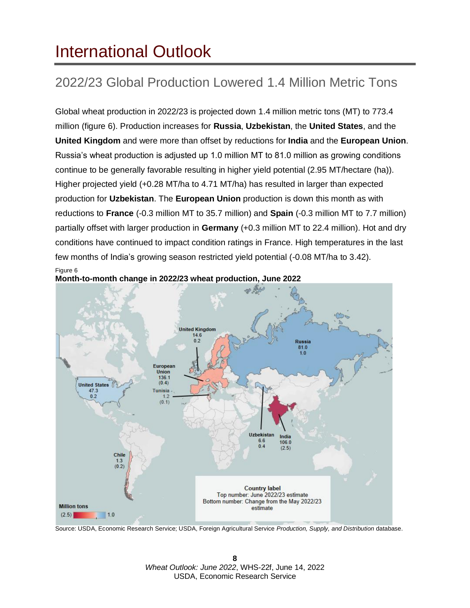# <span id="page-7-0"></span>International Outlook

## 2022/23 Global Production Lowered 1.4 Million Metric Tons

Global wheat production in 2022/23 is projected down 1.4 million metric tons (MT) to 773.4 million (figure 6). Production increases for **Russia**, **Uzbekistan**, the **United States**, and the **United Kingdom** and were more than offset by reductions for **India** and the **European Union**. Russia's wheat production is adjusted up 1.0 million MT to 81.0 million as growing conditions continue to be generally favorable resulting in higher yield potential (2.95 MT/hectare (ha)). Higher projected yield (+0.28 MT/ha to 4.71 MT/ha) has resulted in larger than expected production for **Uzbekistan**. The **European Union** production is down this month as with reductions to **France** (-0.3 million MT to 35.7 million) and **Spain** (-0.3 million MT to 7.7 million) partially offset with larger production in **Germany** (+0.3 million MT to 22.4 million). Hot and dry conditions have continued to impact condition ratings in France. High temperatures in the last few months of India's growing season restricted yield potential (-0.08 MT/ha to 3.42). Figure 6



**Month-to-month change in 2022/23 wheat production, June 2022**

Source: USDA, Economic Research Service; USDA, Foreign Agricultural Service *Production, Supply, and Distribution* database.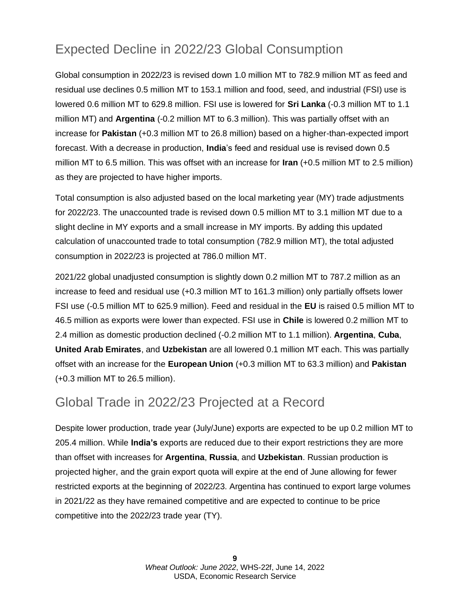## Expected Decline in 2022/23 Global Consumption

Global consumption in 2022/23 is revised down 1.0 million MT to 782.9 million MT as feed and residual use declines 0.5 million MT to 153.1 million and food, seed, and industrial (FSI) use is lowered 0.6 million MT to 629.8 million. FSI use is lowered for **Sri Lanka** (-0.3 million MT to 1.1 million MT) and **Argentina** (-0.2 million MT to 6.3 million). This was partially offset with an increase for **Pakistan** (+0.3 million MT to 26.8 million) based on a higher-than-expected import forecast. With a decrease in production, **India**'s feed and residual use is revised down 0.5 million MT to 6.5 million. This was offset with an increase for **Iran** (+0.5 million MT to 2.5 million) as they are projected to have higher imports.

Total consumption is also adjusted based on the local marketing year (MY) trade adjustments for 2022/23. The unaccounted trade is revised down 0.5 million MT to 3.1 million MT due to a slight decline in MY exports and a small increase in MY imports. By adding this updated calculation of unaccounted trade to total consumption (782.9 million MT), the total adjusted consumption in 2022/23 is projected at 786.0 million MT.

2021/22 global unadjusted consumption is slightly down 0.2 million MT to 787.2 million as an increase to feed and residual use (+0.3 million MT to 161.3 million) only partially offsets lower FSI use (-0.5 million MT to 625.9 million). Feed and residual in the **EU** is raised 0.5 million MT to 46.5 million as exports were lower than expected. FSI use in **Chile** is lowered 0.2 million MT to 2.4 million as domestic production declined (-0.2 million MT to 1.1 million). **Argentina**, **Cuba**, **United Arab Emirates**, and **Uzbekistan** are all lowered 0.1 million MT each. This was partially offset with an increase for the **European Union** (+0.3 million MT to 63.3 million) and **Pakistan**  (+0.3 million MT to 26.5 million).

#### Global Trade in 2022/23 Projected at a Record

Despite lower production, trade year (July/June) exports are expected to be up 0.2 million MT to 205.4 million. While **India's** exports are reduced due to their export restrictions they are more than offset with increases for **Argentina**, **Russia**, and **Uzbekistan**. Russian production is projected higher, and the grain export quota will expire at the end of June allowing for fewer restricted exports at the beginning of 2022/23. Argentina has continued to export large volumes in 2021/22 as they have remained competitive and are expected to continue to be price competitive into the 2022/23 trade year (TY).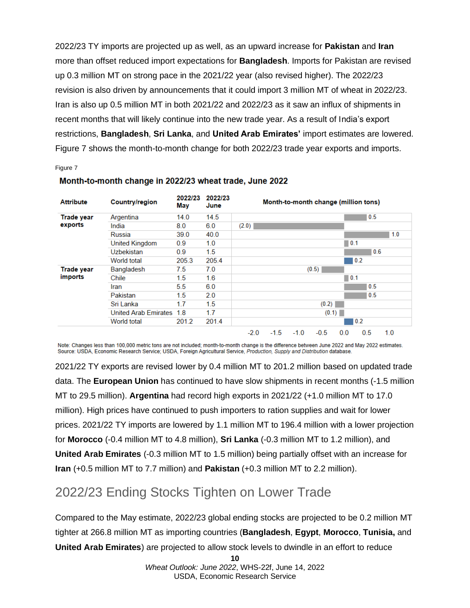2022/23 TY imports are projected up as well, as an upward increase for **Pakistan** and **Iran** more than offset reduced import expectations for **Bangladesh**. Imports for Pakistan are revised up 0.3 million MT on strong pace in the 2021/22 year (also revised higher). The 2022/23 revision is also driven by announcements that it could import 3 million MT of wheat in 2022/23. Iran is also up 0.5 million MT in both 2021/22 and 2022/23 as it saw an influx of shipments in recent months that will likely continue into the new trade year. As a result of India's export restrictions, **Bangladesh**, **Sri Lanka**, and **United Arab Emirates'** import estimates are lowered. Figure 7 shows the month-to-month change for both 2022/23 trade year exports and imports.

#### Figure 7

| <b>Attribute</b>             | <b>Country/region</b>       | 2022/23<br>May | 2022/23<br>June |        |        |        | Month-to-month change (million tons) |                    |     |     |
|------------------------------|-----------------------------|----------------|-----------------|--------|--------|--------|--------------------------------------|--------------------|-----|-----|
| <b>Trade year</b><br>exports | Argentina                   | 14.0           | 14.5            |        |        |        |                                      |                    | 0.5 |     |
|                              | India                       | 8.0            | 6.0             | (2.0)  |        |        |                                      |                    |     |     |
|                              | Russia                      | 39.0           | 40.0            | 1.0    |        |        |                                      |                    |     |     |
|                              | <b>United Kingdom</b>       | 0.9            | 1.0             | 0.1    |        |        |                                      |                    |     |     |
|                              | <b>Uzbekistan</b>           | 0.9            | 1.5             | 0.6    |        |        |                                      |                    |     |     |
|                              | World total                 | 205.3          | 205.4           |        |        |        |                                      |                    | 0.2 |     |
| Trade year<br>imports        | Bangladesh                  | 7.5            | 7.0             |        |        |        | (0.5)                                |                    |     |     |
|                              | Chile                       | 1.5            | 1.6             |        |        |        |                                      | $\blacksquare$ 0.1 |     |     |
|                              | Iran                        | 5.5            | 6.0             |        |        |        |                                      |                    | 0.5 |     |
|                              | Pakistan                    | 1.5            | 2.0             | 0.5    |        |        |                                      |                    |     |     |
|                              | Sri Lanka                   | 1.7            | 1.5             | (0.2)  |        |        |                                      |                    |     |     |
|                              | <b>United Arab Emirates</b> | 1.8            | 1.7             | (0.1)  |        |        |                                      |                    |     |     |
|                              | World total                 | 201.2          | 201.4           |        |        |        |                                      |                    | 0.2 |     |
|                              |                             |                |                 | $-2.0$ | $-1.5$ | $-1.0$ | $-0.5$                               | 0.0                | 0.5 | 1.0 |

#### Month-to-month change in 2022/23 wheat trade, June 2022

Note: Changes less than 100,000 metric tons are not included; month-to-month change is the difference between June 2022 and May 2022 estimates. Source: USDA, Economic Research Service; USDA, Foreign Agricultural Service, Production, Supply and Distribution database.

2021/22 TY exports are revised lower by 0.4 million MT to 201.2 million based on updated trade data. The **European Union** has continued to have slow shipments in recent months (-1.5 million MT to 29.5 million). **Argentina** had record high exports in 2021/22 (+1.0 million MT to 17.0 million). High prices have continued to push importers to ration supplies and wait for lower prices. 2021/22 TY imports are lowered by 1.1 million MT to 196.4 million with a lower projection for **Morocco** (-0.4 million MT to 4.8 million), **Sri Lanka** (-0.3 million MT to 1.2 million), and **United Arab Emirates** (-0.3 million MT to 1.5 million) being partially offset with an increase for **Iran** (+0.5 million MT to 7.7 million) and **Pakistan** (+0.3 million MT to 2.2 million).

### 2022/23 Ending Stocks Tighten on Lower Trade

Compared to the May estimate, 2022/23 global ending stocks are projected to be 0.2 million MT tighter at 266.8 million MT as importing countries (**Bangladesh**, **Egypt**, **Morocco**, **Tunisia,** and **United Arab Emirates**) are projected to allow stock levels to dwindle in an effort to reduce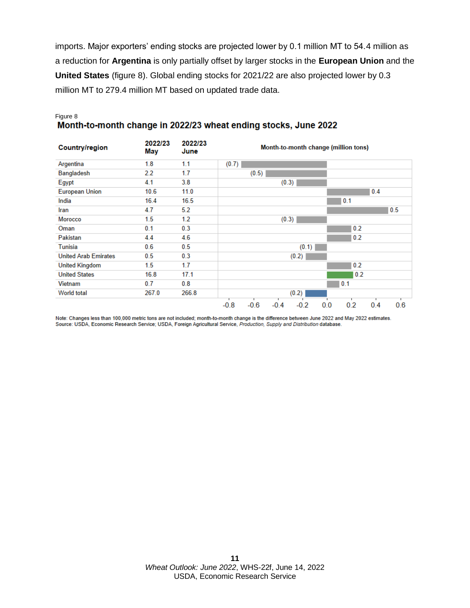imports. Major exporters' ending stocks are projected lower by 0.1 million MT to 54.4 million as a reduction for **Argentina** is only partially offset by larger stocks in the **European Union** and the **United States** (figure 8). Global ending stocks for 2021/22 are also projected lower by 0.3 million MT to 279.4 million MT based on updated trade data.

## Figure 8<br>Month-to-month change in 2022/23 wheat ending stocks, June 2022

| <b>Country/region</b>       | 2022/23<br>May | 2022/23<br>June | Month-to-month change (million tons)                             |  |  |  |  |  |  |
|-----------------------------|----------------|-----------------|------------------------------------------------------------------|--|--|--|--|--|--|
| Argentina                   | 1.8            | 1.1             | (0.7)                                                            |  |  |  |  |  |  |
| <b>Bangladesh</b>           | 2.2            | 1.7             | (0.5)                                                            |  |  |  |  |  |  |
| Egypt                       | 4.1            | 3.8             | (0.3)                                                            |  |  |  |  |  |  |
| <b>European Union</b>       | 10.6           | 11.0            | 0.4                                                              |  |  |  |  |  |  |
| India                       | 16.4           | 16.5            | 0.1                                                              |  |  |  |  |  |  |
| Iran                        | 4.7            | 5.2             | 0.5                                                              |  |  |  |  |  |  |
| <b>Morocco</b>              | 1.5            | 1.2             | (0.3)                                                            |  |  |  |  |  |  |
| Oman                        | 0.1            | 0.3             | 0.2                                                              |  |  |  |  |  |  |
| <b>Pakistan</b>             | 4.4            | 4.6             | 0.2                                                              |  |  |  |  |  |  |
| <b>Tunisia</b>              | 0.6            | 0.5             | (0.1)                                                            |  |  |  |  |  |  |
| <b>United Arab Emirates</b> | 0.5            | 0.3             | (0.2)                                                            |  |  |  |  |  |  |
| <b>United Kingdom</b>       | 1.5            | 1.7             | 0.2                                                              |  |  |  |  |  |  |
| <b>United States</b>        | 16.8           | 17.1            | 0.2                                                              |  |  |  |  |  |  |
| Vietnam                     | 0.7            | 0.8             | 0.1                                                              |  |  |  |  |  |  |
| World total                 | 267.0          | 266.8           | (0.2)                                                            |  |  |  |  |  |  |
|                             |                |                 | $-0.6$<br>$-0.4$<br>0.0<br>0.2<br>0.6<br>$-0.8$<br>$-0.2$<br>0.4 |  |  |  |  |  |  |

Note: Changes less than 100,000 metric tons are not included; month-to-month change is the difference between June 2022 and May 2022 estimates. Source: USDA, Economic Research Service; USDA, Foreign Agricultural Service, Production, Supply and Distribution database.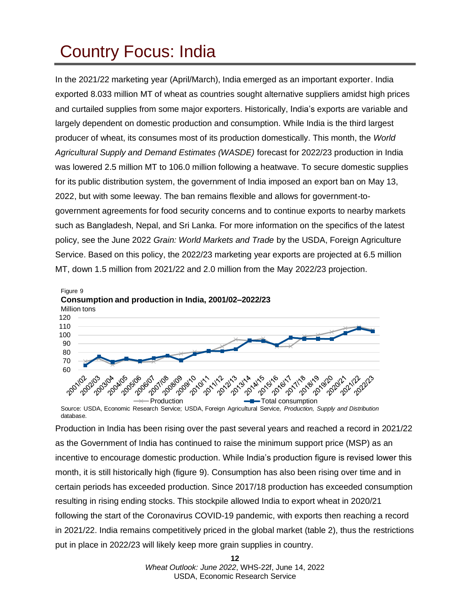# <span id="page-11-0"></span>Country Focus: India

In the 2021/22 marketing year (April/March), India emerged as an important exporter. India exported 8.033 million MT of wheat as countries sought alternative suppliers amidst high prices and curtailed supplies from some major exporters. Historically, India's exports are variable and largely dependent on domestic production and consumption. While India is the third largest producer of wheat, its consumes most of its production domestically. This month, the *World Agricultural Supply and Demand Estimates (WASDE)* forecast for 2022/23 production in India was lowered 2.5 million MT to 106.0 million following a heatwave. To secure domestic supplies for its public distribution system, the government of India imposed an export ban on May 13, 2022, but with some leeway. The ban remains flexible and allows for government-togovernment agreements for food security concerns and to continue exports to nearby markets such as Bangladesh, Nepal, and Sri Lanka. For more information on the specifics of the latest policy, see the June 2022 *Grain: World Markets and Trade* by the USDA, Foreign Agriculture Service. Based on this policy, the 2022/23 marketing year exports are projected at 6.5 million MT, down 1.5 million from 2021/22 and 2.0 million from the May 2022/23 projection.



Source: USDA, Economic Research Service; USDA, Foreign Agricultural Service, *Production, Supply and Distribution*  database.

Production in India has been rising over the past several years and reached a record in 2021/22 as the Government of India has continued to raise the minimum support price (MSP) as an incentive to encourage domestic production. While India's production figure is revised lower this month, it is still historically high (figure 9). Consumption has also been rising over time and in certain periods has exceeded production. Since 2017/18 production has exceeded consumption resulting in rising ending stocks. This stockpile allowed India to export wheat in 2020/21 following the start of the Coronavirus COVID-19 pandemic, with exports then reaching a record in 2021/22. India remains competitively priced in the global market (table 2), thus the restrictions put in place in 2022/23 will likely keep more grain supplies in country.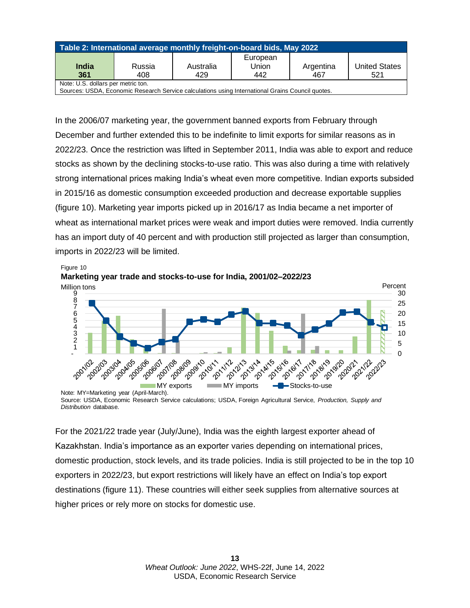| Table 2: International average monthly freight-on-board bids, May 2022                                                              |        |           |          |           |                      |  |  |  |  |
|-------------------------------------------------------------------------------------------------------------------------------------|--------|-----------|----------|-----------|----------------------|--|--|--|--|
|                                                                                                                                     |        |           | European |           |                      |  |  |  |  |
| India                                                                                                                               | Russia | Australia | Union    | Argentina | <b>United States</b> |  |  |  |  |
| 361                                                                                                                                 | 408    | 429       | 442      | 467       | 521                  |  |  |  |  |
| Note: U.S. dollars per metric ton.<br>Courage UCDA, Feanamic Descarab Camica solouisticas using International Croine Council quotes |        |           |          |           |                      |  |  |  |  |

Sources: USDA, Economic Research Service calculations using International Grains Council quotes.

In the 2006/07 marketing year, the government banned exports from February through December and further extended this to be indefinite to limit exports for similar reasons as in 2022/23. Once the restriction was lifted in September 2011, India was able to export and reduce stocks as shown by the declining stocks-to-use ratio. This was also during a time with relatively strong international prices making India's wheat even more competitive. Indian exports subsided in 2015/16 as domestic consumption exceeded production and decrease exportable supplies (figure 10). Marketing year imports picked up in 2016/17 as India became a net importer of wheat as international market prices were weak and import duties were removed. India currently has an import duty of 40 percent and with production still projected as larger than consumption, imports in 2022/23 will be limited.



Source: USDA, Economic Research Service calculations; USDA, Foreign Agricultural Service, *Production, Supply and Distribution* database.

For the 2021/22 trade year (July/June), India was the eighth largest exporter ahead of Kazakhstan. India's importance as an exporter varies depending on international prices, domestic production, stock levels, and its trade policies. India is still projected to be in the top 10 exporters in 2022/23, but export restrictions will likely have an effect on India's top export destinations (figure 11). These countries will either seek supplies from alternative sources at higher prices or rely more on stocks for domestic use.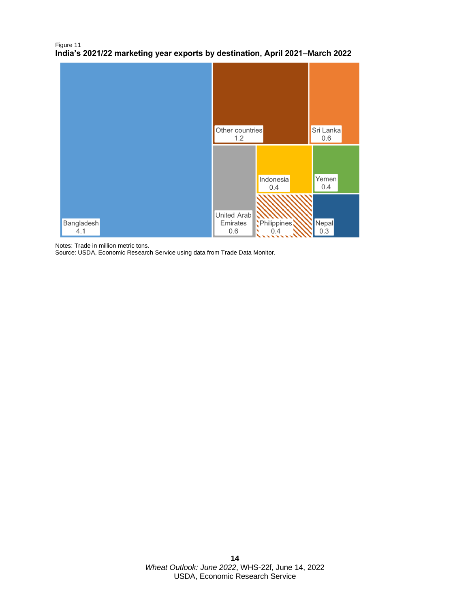#### Figure 11 **India's 2021/22 marketing year exports by destination, April 2021–March 2022**



Notes: Trade in million metric tons.

Source: USDA, Economic Research Service using data from Trade Data Monitor.